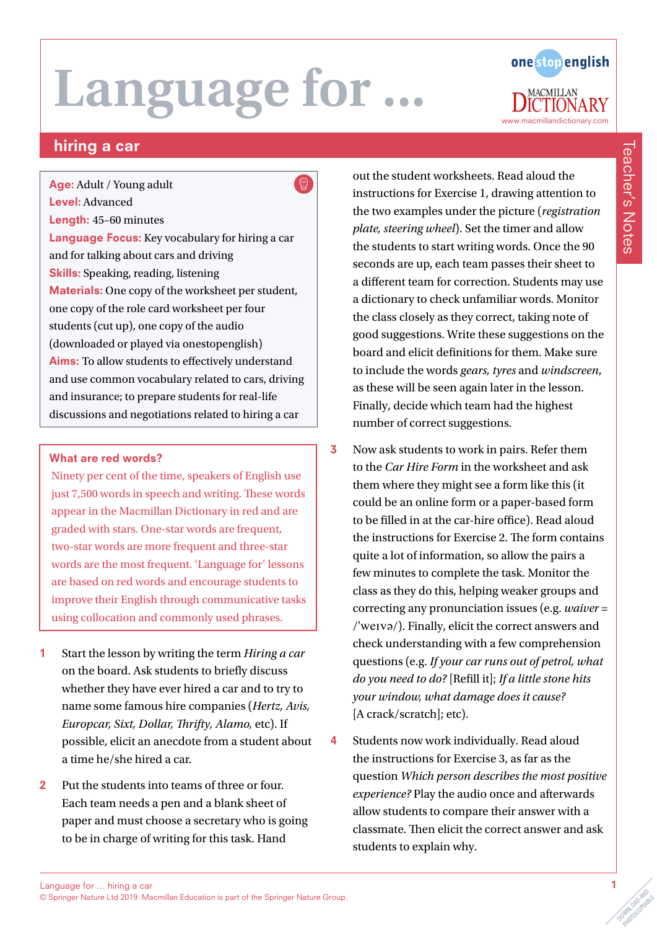

### hiring a car

 $\bigcirc$ Age: Adult / Young adult Level: Advanced Length: 45–60 minutes Language Focus: Key vocabulary for hiring a car and for talking about cars and driving Skills: Speaking, reading, listening Materials: One copy of the worksheet per student, one copy of the role card worksheet per four students (cut up), one copy of the audio (downloaded or played via onestopenglish) Aims: To allow students to effectively understand and use common vocabulary related to cars, driving and insurance; to prepare students for real-life discussions and negotiations related to hiring a car

#### What are red words?

Ninety per cent of the time, speakers of English use just 7,500 words in speech and writing. These words appear in the Macmillan Dictionary in red and are graded with stars. One-star words are frequent, two-star words are more frequent and three-star words are the most frequent. 'Language for' lessons are based on red words and encourage students to improve their English through communicative tasks using collocation and commonly used phrases.

- 1 Start the lesson by writing the term *Hiring a car* on the board. Ask students to briefly discuss whether they have ever hired a car and to try to name some famous hire companies (*Hertz, Avis, Europcar, Sixt, Dollar, Thrifty, Alamo,* etc). If possible, elicit an anecdote from a student about a time he/she hired a car.
- 2 Put the students into teams of three or four. Each team needs a pen and a blank sheet of paper and must choose a secretary who is going to be in charge of writing for this task. Hand

out the student worksheets. Read aloud the instructions for Exercise 1, drawing attention to the two examples under the picture (*registration plate, steering wheel*). Set the timer and allow the students to start writing words. Once the 90 seconds are up, each team passes their sheet to a different team for correction. Students may use a dictionary to check unfamiliar words. Monitor the class closely as they correct, taking note of good suggestions. Write these suggestions on the board and elicit definitions for them. Make sure to include the words *gears, tyres* and *windscreen*, as these will be seen again later in the lesson. Finally, decide which team had the highest number of correct suggestions.

- 3 Now ask students to work in pairs. Refer them to the *Car Hire Form* in the worksheet and ask them where they might see a form like this (it could be an online form or a paper-based form to be filled in at the car-hire office). Read aloud the instructions for Exercise 2. The form contains quite a lot of information, so allow the pairs a few minutes to complete the task. Monitor the class as they do this, helping weaker groups and correcting any pronunciation issues (e.g. *waiver* = /'weɪvə/). Finally, elicit the correct answers and check understanding with a few comprehension questions (e.g. *If your car runs out of petrol, what do you need to do?* [Refill it]; *If a little stone hits your window, what damage does it cause?* [A crack/scratch]; etc).
- 4 Students now work individually. Read aloud the instructions for Exercise 3, as far as the question *Which person describes the most positive experience?* Play the audio once and afterwards allow students to compare their answer with a classmate. Then elicit the correct answer and ask students to explain why.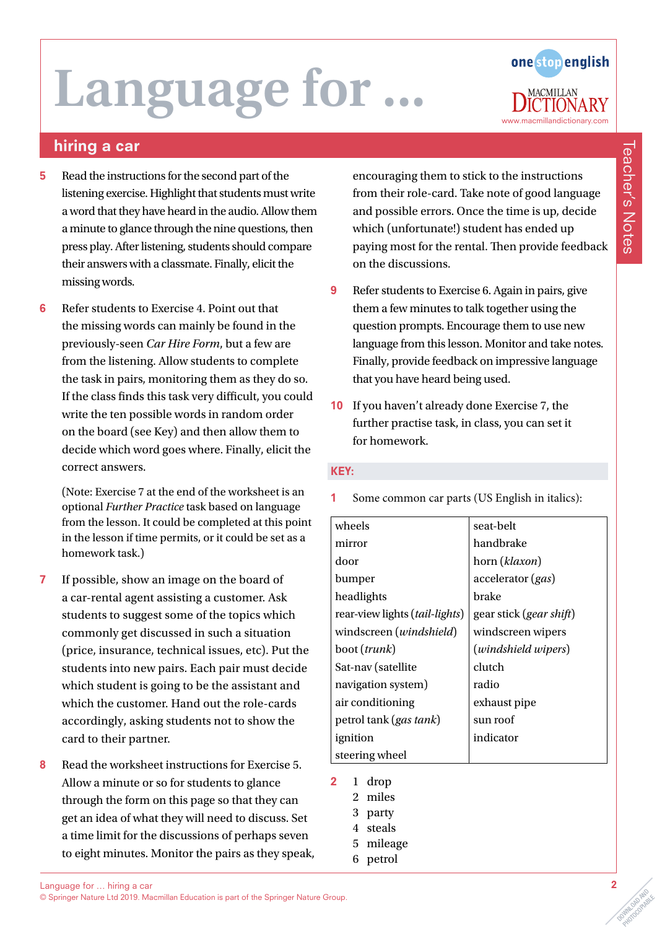# Language for.



### hiring a car

- 5 Read the instructions for the second part of the listening exercise. Highlight that students must write a word that they have heard in the audio. Allow them a minute to glance through the nine questions, then press play. After listening, students should compare their answers with a classmate. Finally, elicit the missing words.
- 6 Refer students to Exercise 4. Point out that the missing words can mainly be found in the previously-seen *Car Hire Form*, but a few are from the listening. Allow students to complete the task in pairs, monitoring them as they do so. If the class finds this task very difficult, you could write the ten possible words in random order on the board (see Key) and then allow them to decide which word goes where. Finally, elicit the correct answers.

(Note: Exercise 7 at the end of the worksheet is an optional *Further Practice* task based on language from the lesson. It could be completed at this point in the lesson if time permits, or it could be set as a homework task.)

- 7 If possible, show an image on the board of a car-rental agent assisting a customer. Ask students to suggest some of the topics which commonly get discussed in such a situation (price, insurance, technical issues, etc). Put the students into new pairs. Each pair must decide which student is going to be the assistant and which the customer. Hand out the role-cards accordingly, asking students not to show the card to their partner.
- 8 Read the worksheet instructions for Exercise 5. Allow a minute or so for students to glance through the form on this page so that they can get an idea of what they will need to discuss. Set a time limit for the discussions of perhaps seven to eight minutes. Monitor the pairs as they speak,

encouraging them to stick to the instructions from their role-card. Take note of good language and possible errors. Once the time is up, decide which (unfortunate!) student has ended up paying most for the rental. Then provide feedback on the discussions.

- 9 Refer students to Exercise 6. Again in pairs, give them a few minutes to talk together using the question prompts. Encourage them to use new language from this lesson. Monitor and take notes. Finally, provide feedback on impressive language that you have heard being used.
- 10 If you haven't already done Exercise 7, the further practise task, in class, you can set it for homework.

#### KEY:

1 Some common car parts (US English in italics):

| wheels                                | seat-belt                        |
|---------------------------------------|----------------------------------|
| mirror                                | handbrake                        |
| door                                  | horn (klaxon)                    |
| bumper                                | accelerator (gas)                |
| headlights                            | brake                            |
| rear-view lights <i>(tail-lights)</i> | gear stick ( <i>gear shift</i> ) |
| windscreen (windshield)               | windscreen wipers                |
| boot ( <i>trunk</i> )                 | (windshield wipers)              |
| Sat-nav (satellite                    | clutch                           |
| navigation system)                    | radio                            |
| air conditioning                      | exhaust pipe                     |
| petrol tank ( <i>gas tank</i> )       | sun roof                         |
| ignition                              | indicator                        |
| steering wheel                        |                                  |

- $2 \quad 1 \quad$ 
	- 2 miles
	- 3 party
	- 4 steals
	- 5 mileage
	- 6 petrol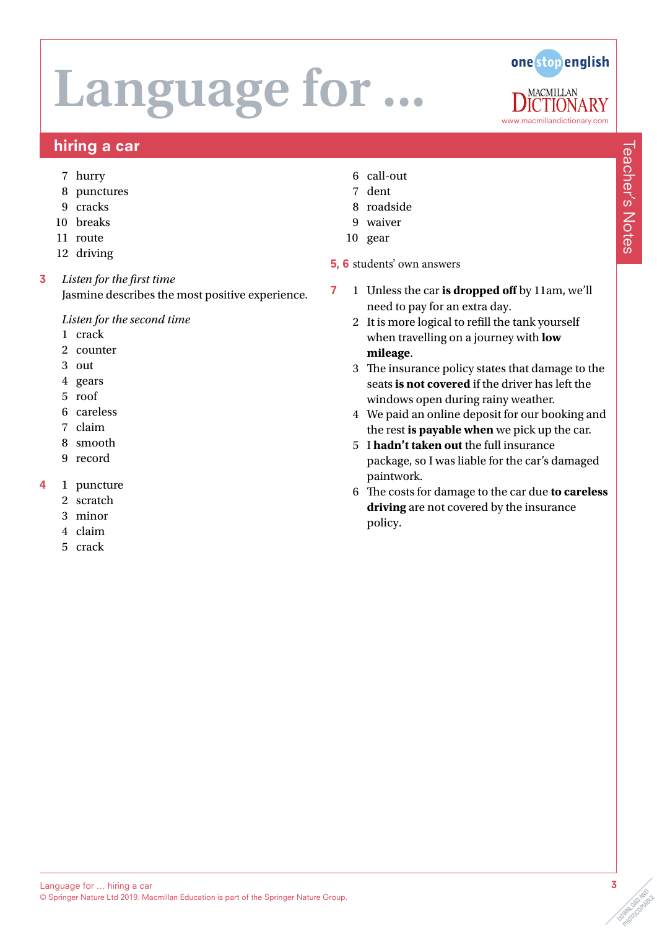

### hiring a car

- 7 hurry
- 8 punctures
- 9 cracks
- 10 breaks
- 11 route
- 12 driving
- 3 *Listen for the first time* Jasmine describes the most positive experience.

*Listen for the second time*

- 1 crack
- 2 counter
- 3 out
- 4 gears
- 5 roof
- 6 careless
- 7 claim
- 8 smooth
- 9 record
- 4 1 puncture
	- 2 scratch
	- 3 minor
	- 4 claim
	- 5 crack
- 6 call-out
- 7 dent
- 8 roadside
- 9 waiver
- 10 gear
- 5, 6 students' own answers
- 7 1 Unless the car **is dropped off** by 11am, we'll need to pay for an extra day.
	- 2 It is more logical to refill the tank yourself when travelling on a journey with **low mileage**.
	- 3 The insurance policy states that damage to the seats **is not covered** if the driver has left the windows open during rainy weather.
	- 4 We paid an online deposit for our booking and the rest **is payable when** we pick up the car.
	- 5 I **hadn't taken out** the full insurance package, so I was liable for the car's damaged paintwork.
	- 6 The costs for damage to the car due **to careless driving** are not covered by the insurance policy.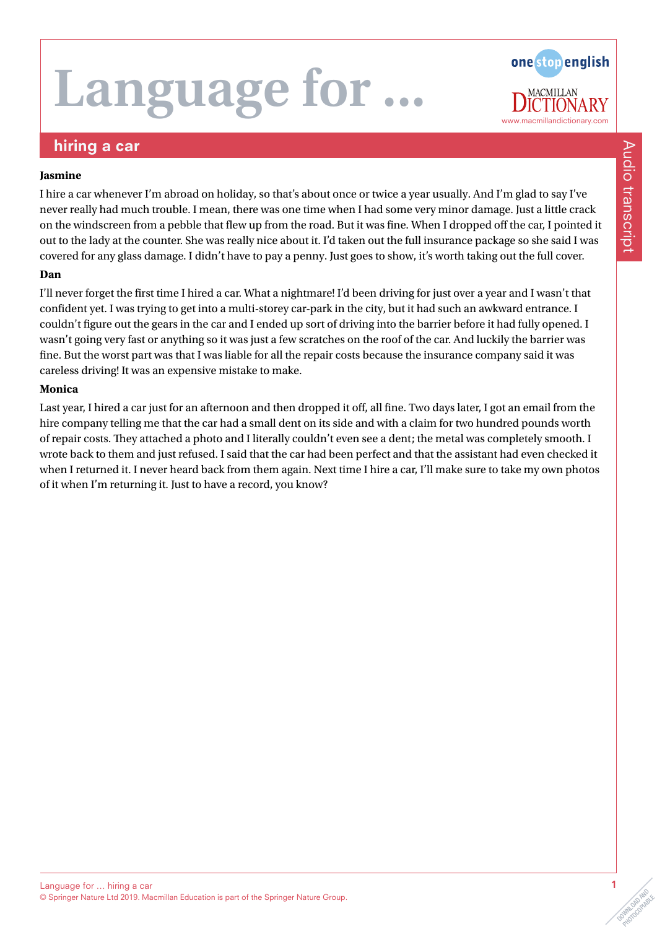# **Language for**

one stop english www.macmillandictionary.com

### hiring a car

#### **Jasmine**

I hire a car whenever I'm abroad on holiday, so that's about once or twice a year usually. And I'm glad to say I've never really had much trouble. I mean, there was one time when I had some very minor damage. Just a little crack on the windscreen from a pebble that flew up from the road. But it was fine. When I dropped off the car, I pointed it out to the lady at the counter. She was really nice about it. I'd taken out the full insurance package so she said I was covered for any glass damage. I didn't have to pay a penny. Just goes to show, it's worth taking out the full cover.

#### **Dan**

I'll never forget the first time I hired a car. What a nightmare! I'd been driving for just over a year and I wasn't that confident yet. I was trying to get into a multi-storey car-park in the city, but it had such an awkward entrance. I couldn't figure out the gears in the car and I ended up sort of driving into the barrier before it had fully opened. I wasn't going very fast or anything so it was just a few scratches on the roof of the car. And luckily the barrier was fine. But the worst part was that I was liable for all the repair costs because the insurance company said it was careless driving! It was an expensive mistake to make.

#### **Monica**

Last year, I hired a car just for an afternoon and then dropped it off, all fine. Two days later, I got an email from the hire company telling me that the car had a small dent on its side and with a claim for two hundred pounds worth of repair costs. They attached a photo and I literally couldn't even see a dent; the metal was completely smooth. I wrote back to them and just refused. I said that the car had been perfect and that the assistant had even checked it when I returned it. I never heard back from them again. Next time I hire a car, I'll make sure to take my own photos of it when I'm returning it. Just to have a record, you know?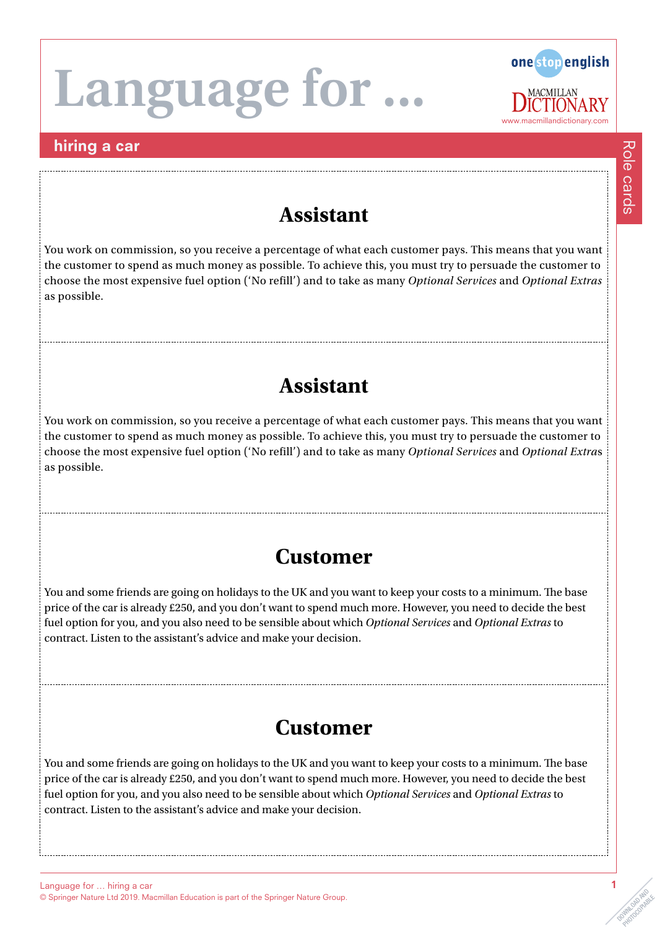# Language for.

### hiring a car



## **Assistant**

You work on commission, so you receive a percentage of what each customer pays. This means that you want the customer to spend as much money as possible. To achieve this, you must try to persuade the customer to choose the most expensive fuel option ('No refill') and to take as many *Optional Services* and *Optional Extras* as possible.

# **Assistant**

You work on commission, so you receive a percentage of what each customer pays. This means that you want the customer to spend as much money as possible. To achieve this, you must try to persuade the customer to choose the most expensive fuel option ('No refill') and to take as many *Optional Services* and *Optional Extra*s as possible.

## **Customer**

You and some friends are going on holidays to the UK and you want to keep your costs to a minimum. The base price of the car is already £250, and you don't want to spend much more. However, you need to decide the best fuel option for you, and you also need to be sensible about which *Optional Services* and *Optional Extras* to contract. Listen to the assistant's advice and make your decision.

## **Customer**

You and some friends are going on holidays to the UK and you want to keep your costs to a minimum. The base price of the car is already £250, and you don't want to spend much more. However, you need to decide the best fuel option for you, and you also need to be sensible about which *Optional Services* and *Optional Extras* to contract. Listen to the assistant's advice and make your decision.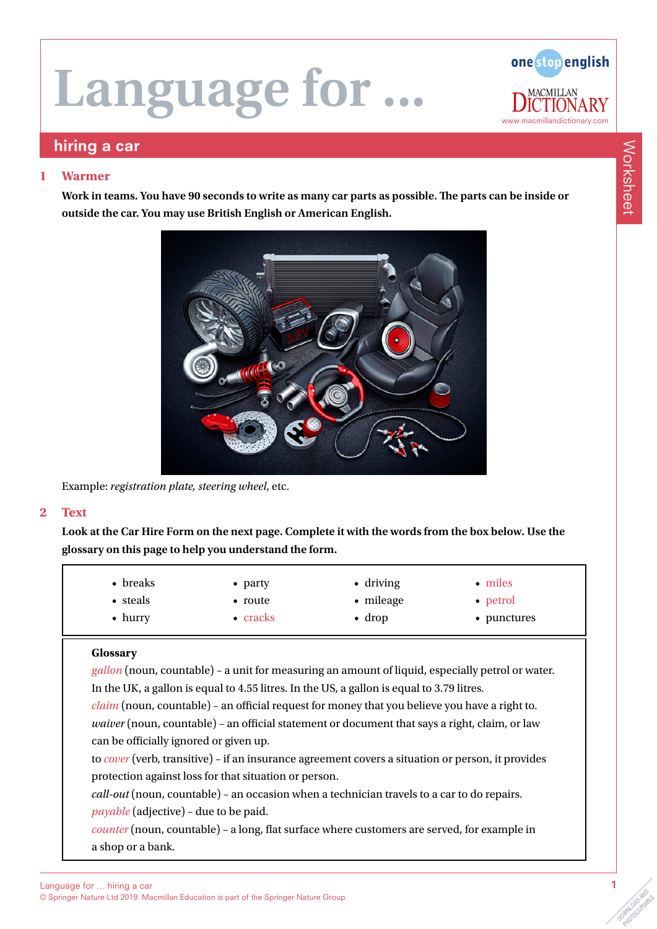

### hiring a car

#### **1 Warmer**

**Work in teams. You have 90 seconds to write as many car parts as possible. The parts can be inside or outside the car. You may use British English or American English.**



Example: *registration plate, steering wheel*, etc.

#### **2 Text**

**Look at the Car Hire Form on the next page. Complete it with the words from the box below. Use the glossary on this page to help you understand the form.**

| • breaks        | $\bullet$ party  | $\bullet$ driving | $\bullet$ miles |
|-----------------|------------------|-------------------|-----------------|
| • steals        | • route          | $\bullet$ mileage | • petrol        |
| $\bullet$ hurry | $\bullet$ cracks | $\bullet$ drop    | • punctures     |

#### **Glossary**

*gallon* (noun, countable) – a unit for measuring an amount of liquid, especially petrol or water. In the UK, a gallon is equal to 4.55 litres. In the US, a gallon is equal to 3.79 litres.

*claim* (noun, countable) – an official request for money that you believe you have a right to. *waiver* (noun, countable) – an official statement or document that says a right, claim, or law can be officially ignored or given up.

to *cover* (verb, transitive) – if an insurance agreement covers a situation or person, it provides protection against loss for that situation or person.

*call-out* (noun, countable) – an occasion when a technician travels to a car to do repairs. *payable* (adjective) – due to be paid.

*counter* (noun, countable) – a long, flat surface where customers are served, for example in a shop or a bank.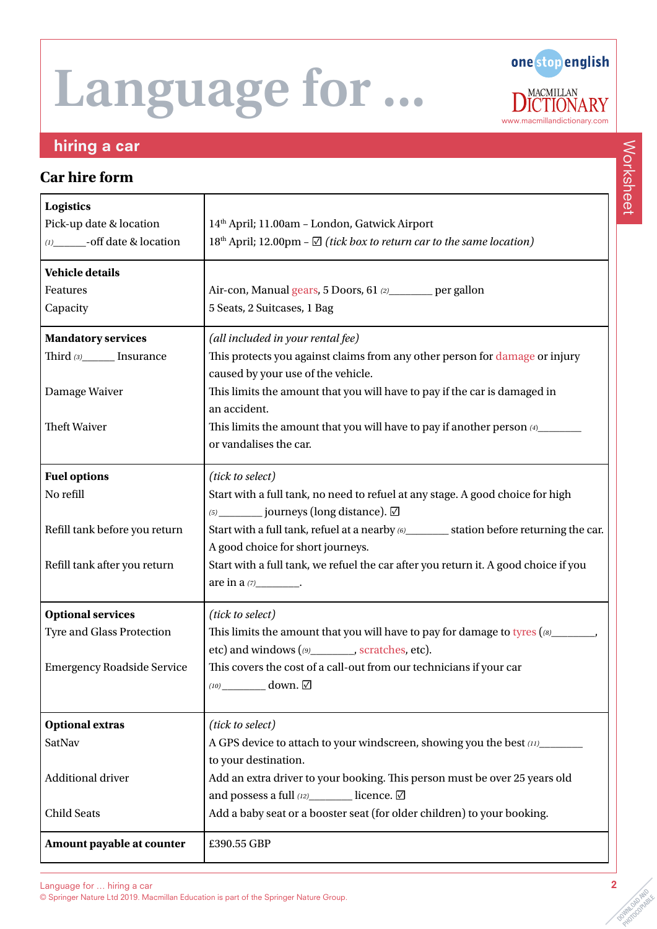

### hiring a car

### **Car hire form**

| <b>Logistics</b><br>Pick-up date & location<br>(1) _______- off date & location | 14th April; 11.00am - London, Gatwick Airport<br>18 <sup>th</sup> April; 12.00pm - $\Box$ (tick box to return car to the same location) |
|---------------------------------------------------------------------------------|-----------------------------------------------------------------------------------------------------------------------------------------|
| <b>Vehicle details</b>                                                          |                                                                                                                                         |
| Features                                                                        | Air-con, Manual gears, 5 Doors, 61 (2) ________ per gallon                                                                              |
| Capacity                                                                        | 5 Seats, 2 Suitcases, 1 Bag                                                                                                             |
| <b>Mandatory services</b>                                                       | (all included in your rental fee)                                                                                                       |
| Third (3)________ Insurance                                                     | This protects you against claims from any other person for damage or injury                                                             |
|                                                                                 | caused by your use of the vehicle.                                                                                                      |
| Damage Waiver                                                                   | This limits the amount that you will have to pay if the car is damaged in<br>an accident.                                               |
| <b>Theft Waiver</b>                                                             | This limits the amount that you will have to pay if another person (4)__________                                                        |
|                                                                                 | or vandalises the car.                                                                                                                  |
| <b>Fuel options</b>                                                             | (tick to select)                                                                                                                        |
| No refill                                                                       | Start with a full tank, no need to refuel at any stage. A good choice for high                                                          |
|                                                                                 | (5) _________ journeys (long distance). ☑                                                                                               |
| Refill tank before you return                                                   | Start with a full tank, refuel at a nearby (6) _________ station before returning the car.                                              |
|                                                                                 | A good choice for short journeys.                                                                                                       |
| Refill tank after you return                                                    | Start with a full tank, we refuel the car after you return it. A good choice if you<br>are in a (7)___________.                         |
|                                                                                 |                                                                                                                                         |
| <b>Optional services</b>                                                        | (tick to select)                                                                                                                        |
| Tyre and Glass Protection                                                       | This limits the amount that you will have to pay for damage to tyres $(16)$                                                             |
| <b>Emergency Roadside Service</b>                                               | etc) and windows (09 _________, scratches, etc).<br>This covers the cost of a call-out from our technicians if your car                 |
|                                                                                 |                                                                                                                                         |
|                                                                                 |                                                                                                                                         |
| <b>Optional extras</b>                                                          | (tick to select)                                                                                                                        |
| SatNav                                                                          | A GPS device to attach to your windscreen, showing you the best (11)                                                                    |
|                                                                                 | to your destination.                                                                                                                    |
| Additional driver                                                               | Add an extra driver to your booking. This person must be over 25 years old<br>and possess a full (12) licence. Ø                        |
| <b>Child Seats</b>                                                              | Add a baby seat or a booster seat (for older children) to your booking.                                                                 |
|                                                                                 |                                                                                                                                         |
| Amount payable at counter                                                       | £390.55 GBP                                                                                                                             |

Worksheet Worksheet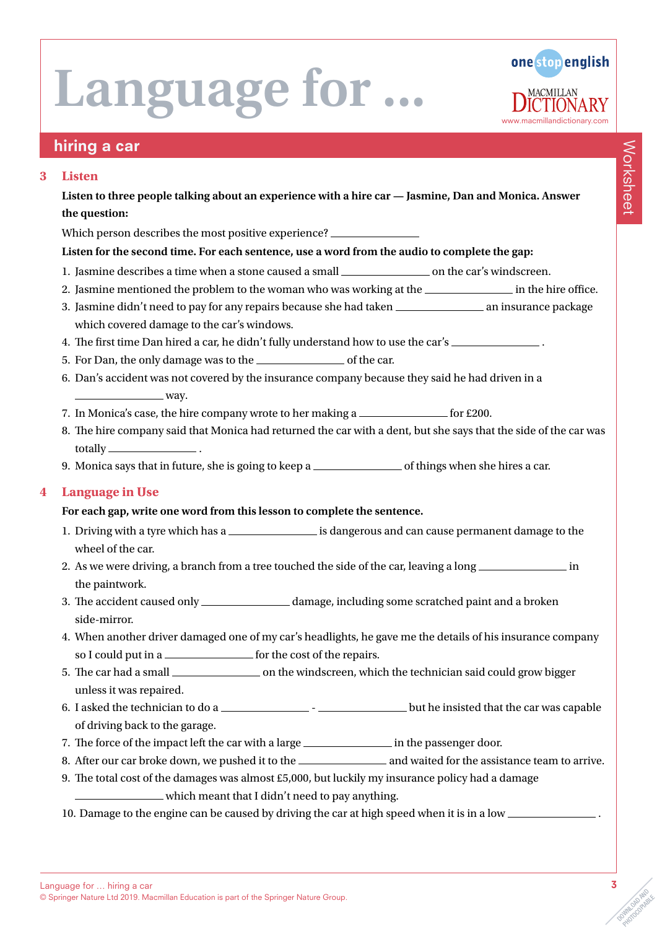

## hiring a car

#### **3 Listen**

**Listen to three people talking about an experience with a hire car — Jasmine, Dan and Monica. Answer the question:**

Which person describes the most positive experience?

#### **Listen for the second time. For each sentence, use a word from the audio to complete the gap:**

- 1. Jasmine describes a time when a stone caused a small \_\_\_\_\_\_\_\_\_\_\_\_\_\_\_\_\_\_\_\_\_\_\_\_\_ on the car's windscreen.
- 2. Jasmine mentioned the problem to the woman who was working at the influence in the hire office.
- 3. Jasmine didn't need to pay for any repairs because she had taken \_\_\_\_\_\_\_\_\_\_\_\_\_\_\_\_\_\_\_\_ an insurance package which covered damage to the car's windows.
- 4. The first time Dan hired a car, he didn't fully understand how to use the car's .
- 5. For Dan, the only damage was to the  $\frac{1}{\sqrt{1-\frac{1}{\sqrt{1-\frac{1}{\sqrt{1-\frac{1}{\sqrt{1-\frac{1}{\sqrt{1-\frac{1}{\sqrt{1-\frac{1}{\sqrt{1-\frac{1}{\sqrt{1-\frac{1}{\sqrt{1-\frac{1}{\sqrt{1-\frac{1}{\sqrt{1-\frac{1}{\sqrt{1-\frac{1}{\sqrt{1-\frac{1}{\sqrt{1-\frac{1}{\sqrt{1-\frac{1}{\sqrt{1-\frac{1}{\sqrt{1-\frac{1}{\sqrt{1-\frac{1}{\sqrt{1-\frac{1}{\sqrt{1-\$
- 6. Dan's accident was not covered by the insurance company because they said he had driven in a  $\equiv$  way.
- 7. In Monica's case, the hire company wrote to her making a  $f(200)$
- 8. The hire company said that Monica had returned the car with a dent, but she says that the side of the car was totally \_\_\_\_
- 9. Monica says that in future, she is going to keep a  $\frac{1}{\sqrt{2}}$  of things when she hires a car.

#### **4 Language in Use**

#### **For each gap, write one word from this lesson to complete the sentence.**

- 1. Driving with a tyre which has a \_\_\_\_\_\_\_\_\_\_\_\_\_\_\_\_\_\_ is dangerous and can cause permanent damage to the wheel of the car.
- 2. As we were driving, a branch from a tree touched the side of the car, leaving a long \_\_\_\_\_\_\_\_\_\_\_\_\_\_\_\_\_\_ in the paintwork.
- 3. The accident caused only \_\_\_\_\_\_\_\_\_\_\_\_\_\_\_\_\_ damage, including some scratched paint and a broken side-mirror.
- 4. When another driver damaged one of my car's headlights, he gave me the details of his insurance company so I could put in a <u>section of</u> the cost of the repairs.
- 5. The car had a small on the windscreen, which the technician said could grow bigger unless it was repaired.
- 6. I asked the technician to do a but he insisted that the car was capable of driving back to the garage.
- 7. The force of the impact left the car with a large <u>in the passenger door</u>.
- 8. After our car broke down, we pushed it to the and waited for the assistance team to arrive.
- 9. The total cost of the damages was almost £5,000, but luckily my insurance policy had a damage
	- which meant that I didn't need to pay anything.
- 10. Damage to the engine can be caused by driving the car at high speed when it is in a low .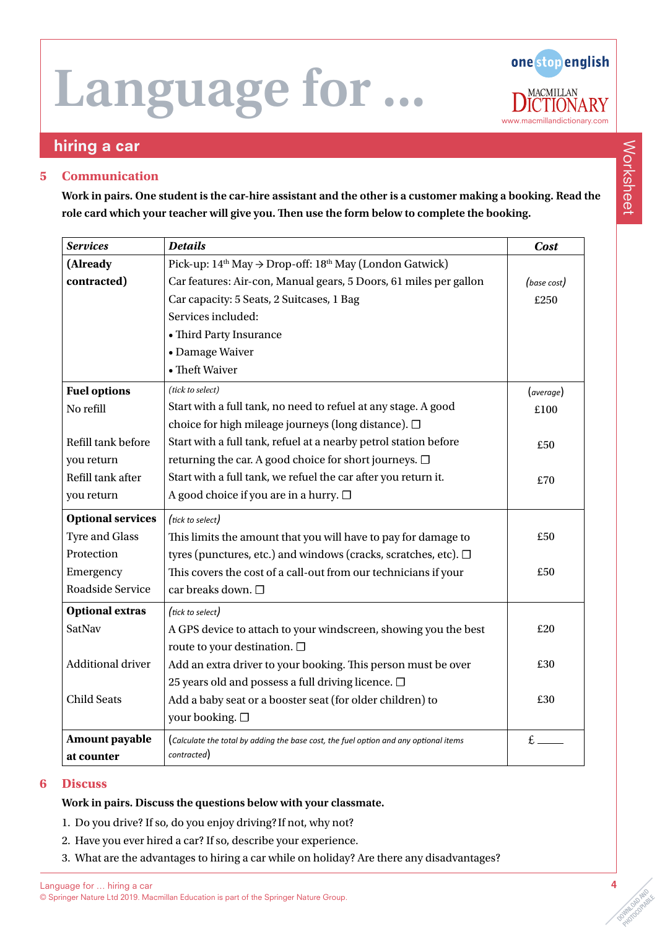one stop english **MACMILLAN** .RY www.macmillandictionary.com

### hiring a car

#### **5 Communication**

**Work in pairs. One student is the car-hire assistant and the other is a customer making a booking. Read the role card which your teacher will give you. Then use the form below to complete the booking.**

| <b>Services</b>          | <b>Details</b>                                                                       | <b>Cost</b> |
|--------------------------|--------------------------------------------------------------------------------------|-------------|
| (Already                 | Pick-up: $14th$ May $\rightarrow$ Drop-off: $18th$ May (London Gatwick)              |             |
| contracted)              | Car features: Air-con, Manual gears, 5 Doors, 61 miles per gallon                    | (base cost) |
|                          | Car capacity: 5 Seats, 2 Suitcases, 1 Bag                                            | £250        |
|                          | Services included:                                                                   |             |
|                          | • Third Party Insurance                                                              |             |
|                          | • Damage Waiver                                                                      |             |
|                          | • Theft Waiver                                                                       |             |
| <b>Fuel options</b>      | (tick to select)                                                                     | (average)   |
| No refill                | Start with a full tank, no need to refuel at any stage. A good                       | £100        |
|                          | choice for high mileage journeys (long distance). $\square$                          |             |
| Refill tank before       | Start with a full tank, refuel at a nearby petrol station before                     | £50         |
| you return               | returning the car. A good choice for short journeys. □                               |             |
| Refill tank after        | Start with a full tank, we refuel the car after you return it.                       | £70         |
| you return               | A good choice if you are in a hurry. □                                               |             |
| <b>Optional services</b> | (tick to select)                                                                     |             |
| <b>Tyre and Glass</b>    | This limits the amount that you will have to pay for damage to                       | £50         |
| Protection               | tyres (punctures, etc.) and windows (cracks, scratches, etc). □                      |             |
| Emergency                | This covers the cost of a call-out from our technicians if your                      | £50         |
| Roadside Service         | car breaks down. □                                                                   |             |
| <b>Optional extras</b>   | (tick to select)                                                                     |             |
| SatNav                   | A GPS device to attach to your windscreen, showing you the best                      | £20         |
|                          | route to your destination. □                                                         |             |
| Additional driver        | Add an extra driver to your booking. This person must be over                        | £30         |
|                          | 25 years old and possess a full driving licence. $\Box$                              |             |
| <b>Child Seats</b>       | Add a baby seat or a booster seat (for older children) to                            | £30         |
|                          | your booking. □                                                                      |             |
| Amount payable           | (Calculate the total by adding the base cost, the fuel option and any optional items | $f_{\perp}$ |
| at counter               | contracted)                                                                          |             |

#### **6 Discuss**

#### **Work in pairs. Discuss the questions below with your classmate.**

- 1. Do you drive? If so, do you enjoy driving? If not, why not?
- 2. Have you ever hired a car? If so, describe your experience.
- 3. What are the advantages to hiring a car while on holiday? Are there any disadvantages?